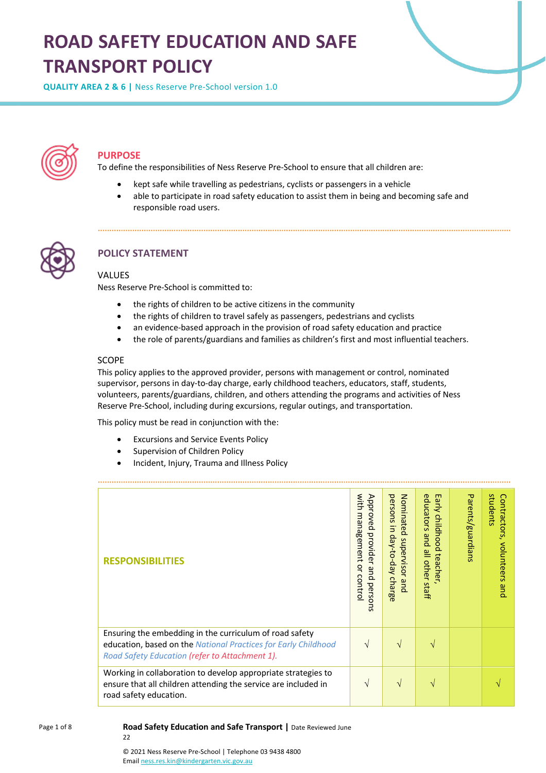# **ROAD SAFETY EDUCATION AND SAFE TRANSPORT POLICY**

**QUALITY AREA 2 & 6 |** Ness Reserve Pre-School version 1.0



# **PURPOSE**

To define the responsibilities of Ness Reserve Pre-School to ensure that all children are:

- kept safe while travelling as pedestrians, cyclists or passengers in a vehicle
- able to participate in road safety education to assist them in being and becoming safe and responsible road users.



# **POLICY STATEMENT**

# VALUES

Ness Reserve Pre-School is committed to:

- the rights of children to be active citizens in the community
- the rights of children to travel safely as passengers, pedestrians and cyclists
- an evidence-based approach in the provision of road safety education and practice
- the role of parents/guardians and families as children's first and most influential teachers.

# SCOPE

This policy applies to the approved provider, persons with management or control, nominated supervisor, persons in day-to-day charge, early childhood teachers, educators, staff, students, volunteers, parents/guardians, children, and others attending the programs and activities of Ness Reserve Pre-School, including during excursions, regular outings, and transportation.

This policy must be read in conjunction with the:

- Excursions and Service Events Policy
- Supervision of Children Policy
- Incident, Injury, Trauma and Illness Policy

| <b>RESPONSIBILITIES</b>                                                                                                                                                     | with<br>Approved<br>ma<br>ā<br>provider<br><b>gement</b><br>o<br>and<br>⇁<br>contro<br>persol<br>ā | persons<br>Nominated<br>$\overline{\mathbf{5}}$<br>day-to-<br>supervisor<br><b>Aep</b><br>charge<br>pue | educators<br>Early<br>childhood<br>pue<br>$\overset{\mathbf{p}}{=}$<br>teacher<br>other<br>staff | Parents/guardians | students<br>Contractors,<br>volunteers<br>and |
|-----------------------------------------------------------------------------------------------------------------------------------------------------------------------------|----------------------------------------------------------------------------------------------------|---------------------------------------------------------------------------------------------------------|--------------------------------------------------------------------------------------------------|-------------------|-----------------------------------------------|
| Ensuring the embedding in the curriculum of road safety<br>education, based on the National Practices for Early Childhood<br>Road Safety Education (refer to Attachment 1). | V                                                                                                  |                                                                                                         |                                                                                                  |                   |                                               |
| Working in collaboration to develop appropriate strategies to<br>ensure that all children attending the service are included in<br>road safety education.                   | V                                                                                                  | $\mathcal{N}$                                                                                           | N                                                                                                |                   |                                               |

**Road Safety Education and Safe Transport |** Date Reviewed June  $22$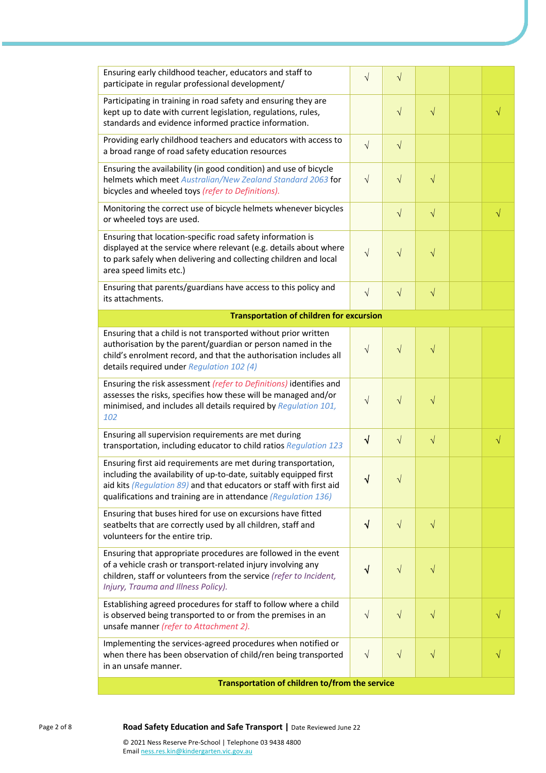| Ensuring early childhood teacher, educators and staff to<br>participate in regular professional development/                                                                                                                                                                 | $\sqrt{}$  | $\sqrt{}$ |           |  |           |  |  |
|------------------------------------------------------------------------------------------------------------------------------------------------------------------------------------------------------------------------------------------------------------------------------|------------|-----------|-----------|--|-----------|--|--|
| Participating in training in road safety and ensuring they are<br>kept up to date with current legislation, regulations, rules,<br>standards and evidence informed practice information.                                                                                     |            | $\sqrt{}$ | $\sqrt{}$ |  | √         |  |  |
| Providing early childhood teachers and educators with access to<br>a broad range of road safety education resources                                                                                                                                                          | $\sqrt{ }$ | $\sqrt{}$ |           |  |           |  |  |
| Ensuring the availability (in good condition) and use of bicycle<br>helmets which meet Australian/New Zealand Standard 2063 for<br>bicycles and wheeled toys (refer to Definitions).                                                                                         | $\sqrt{ }$ | $\sqrt{}$ | $\sqrt{}$ |  |           |  |  |
| Monitoring the correct use of bicycle helmets whenever bicycles<br>or wheeled toys are used.                                                                                                                                                                                 |            | $\sqrt{}$ | $\sqrt{}$ |  | $\sqrt{}$ |  |  |
| Ensuring that location-specific road safety information is<br>displayed at the service where relevant (e.g. details about where<br>to park safely when delivering and collecting children and local<br>area speed limits etc.)                                               | $\sqrt{ }$ | $\sqrt{}$ | $\sqrt{}$ |  |           |  |  |
| Ensuring that parents/guardians have access to this policy and<br>its attachments.                                                                                                                                                                                           | $\sqrt{}$  | $\sqrt{}$ | $\sqrt{}$ |  |           |  |  |
| <b>Transportation of children for excursion</b>                                                                                                                                                                                                                              |            |           |           |  |           |  |  |
| Ensuring that a child is not transported without prior written<br>authorisation by the parent/guardian or person named in the<br>child's enrolment record, and that the authorisation includes all<br>details required under Regulation 102 (4)                              | $\sqrt{ }$ | $\sqrt{}$ | $\sqrt{}$ |  |           |  |  |
| Ensuring the risk assessment (refer to Definitions) identifies and<br>assesses the risks, specifies how these will be managed and/or<br>minimised, and includes all details required by Regulation 101,<br>102                                                               | $\sqrt{}$  | $\sqrt{}$ | $\sqrt{}$ |  |           |  |  |
| Ensuring all supervision requirements are met during<br>transportation, including educator to child ratios Regulation 123                                                                                                                                                    | $\sqrt{}$  | $\sqrt{}$ | $\sqrt{}$ |  | $\sqrt{}$ |  |  |
| Ensuring first aid requirements are met during transportation,<br>including the availability of up-to-date, suitably equipped first<br>aid kits (Regulation 89) and that educators or staff with first aid<br>qualifications and training are in attendance (Regulation 136) | N          |           |           |  |           |  |  |
| Ensuring that buses hired for use on excursions have fitted<br>seatbelts that are correctly used by all children, staff and<br>volunteers for the entire trip.                                                                                                               | $\sqrt{}$  | $\sqrt{}$ | $\sqrt{}$ |  |           |  |  |
| Ensuring that appropriate procedures are followed in the event<br>of a vehicle crash or transport-related injury involving any<br>children, staff or volunteers from the service (refer to Incident,<br>Injury, Trauma and Illness Policy).                                  | $\sqrt{ }$ | $\sqrt{}$ | $\sqrt{}$ |  |           |  |  |
| Establishing agreed procedures for staff to follow where a child<br>is observed being transported to or from the premises in an<br>unsafe manner (refer to Attachment 2).                                                                                                    | $\sqrt{ }$ | $\sqrt{}$ | $\sqrt{}$ |  | V         |  |  |
| Implementing the services-agreed procedures when notified or<br>when there has been observation of child/ren being transported<br>in an unsafe manner.                                                                                                                       | $\sqrt{ }$ | $\sqrt{}$ | $\sqrt{}$ |  |           |  |  |
| Transportation of children to/from the service                                                                                                                                                                                                                               |            |           |           |  |           |  |  |

Page 2 of 8 **Road Safety Education and Safe Transport |** Date Reviewed June 22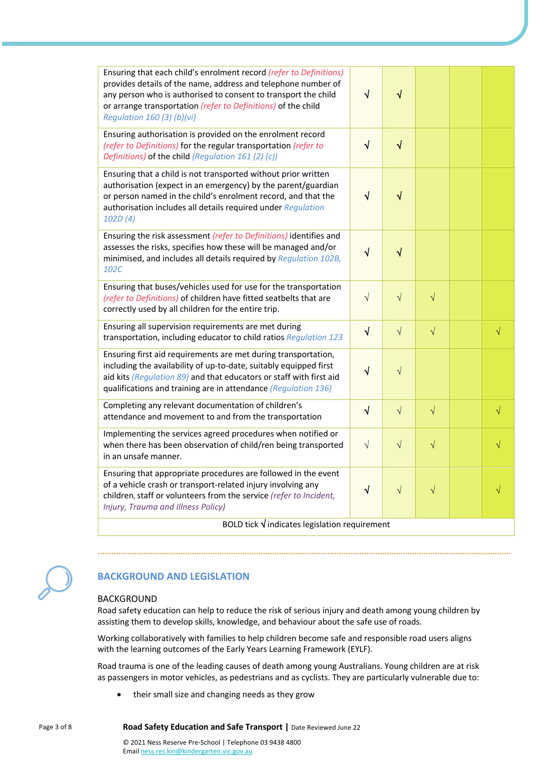| Ensuring that each child's enrolment record (refer to Definitions)<br>provides details of the name, address and telephone number of<br>any person who is authorised to consent to transport the child<br>or arrange transportation (refer to Definitions) of the child<br>Regulation 160 (3) (b)(vi) | $\sqrt{ }$ | $\sqrt{}$ |           |  |           |
|------------------------------------------------------------------------------------------------------------------------------------------------------------------------------------------------------------------------------------------------------------------------------------------------------|------------|-----------|-----------|--|-----------|
| Ensuring authorisation is provided on the enrolment record<br>(refer to Definitions) for the regular transportation (refer to<br>Definitions) of the child (Regulation 161 (2) (c))                                                                                                                  | $\sqrt{}$  | $\sqrt{}$ |           |  |           |
| Ensuring that a child is not transported without prior written<br>authorisation (expect in an emergency) by the parent/guardian<br>or person named in the child's enrolment record, and that the<br>authorisation includes all details required under Regulation<br>102D(4)                          | √          | √         |           |  |           |
| Ensuring the risk assessment (refer to Definitions) identifies and<br>assesses the risks, specifies how these will be managed and/or<br>minimised, and includes all details required by Regulation 102B,<br>102C                                                                                     | $\sqrt{}$  | $\sqrt{}$ |           |  |           |
| Ensuring that buses/vehicles used for use for the transportation<br>(refer to Definitions) of children have fitted seatbelts that are<br>correctly used by all children for the entire trip.                                                                                                         | $\sqrt{ }$ | $\sqrt{}$ | $\sqrt{}$ |  |           |
| Ensuring all supervision requirements are met during<br>transportation, including educator to child ratios Regulation 123                                                                                                                                                                            | $\sqrt{}$  | $\sqrt{}$ | $\sqrt{}$ |  | $\sqrt{}$ |
| Ensuring first aid requirements are met during transportation,<br>including the availability of up-to-date, suitably equipped first<br>aid kits (Regulation 89) and that educators or staff with first aid<br>qualifications and training are in attendance (Regulation 136)                         | √          | $\sqrt{}$ |           |  |           |
| Completing any relevant documentation of children's<br>attendance and movement to and from the transportation                                                                                                                                                                                        | $\sqrt{ }$ | $\sqrt{}$ | $\sqrt{}$ |  | $\sqrt{}$ |
| Implementing the services agreed procedures when notified or<br>when there has been observation of child/ren being transported<br>in an unsafe manner.                                                                                                                                               | $\sqrt{ }$ | $\sqrt{}$ | $\sqrt{}$ |  | √         |
| Ensuring that appropriate procedures are followed in the event<br>of a vehicle crash or transport-related injury involving any<br>children, staff or volunteers from the service (refer to Incident,<br>Injury, Trauma and Illness Policy)                                                           | $\sqrt{}$  | $\sqrt{}$ | $\sqrt{}$ |  | $\sqrt{}$ |
| BOLD tick $\sqrt{}$ indicates legislation requirement                                                                                                                                                                                                                                                |            |           |           |  |           |

# **BACKGROUND AND LEGISLATION**

# BACKGROUND

Road safety education can help to reduce the risk of serious injury and death among young children by assisting them to develop skills, knowledge, and behaviour about the safe use of roads.

Working collaboratively with families to help children become safe and responsible road users aligns with the learning outcomes of the Early Years Learning Framework (EYLF).

Road trauma is one of the leading causes of death among young Australians. Young children are at risk as passengers in motor vehicles, as pedestrians and as cyclists. They are particularly vulnerable due to:

• their small size and changing needs as they grow

Page 3 of 8 **Road Safety Education and Safe Transport |** Date Reviewed June 22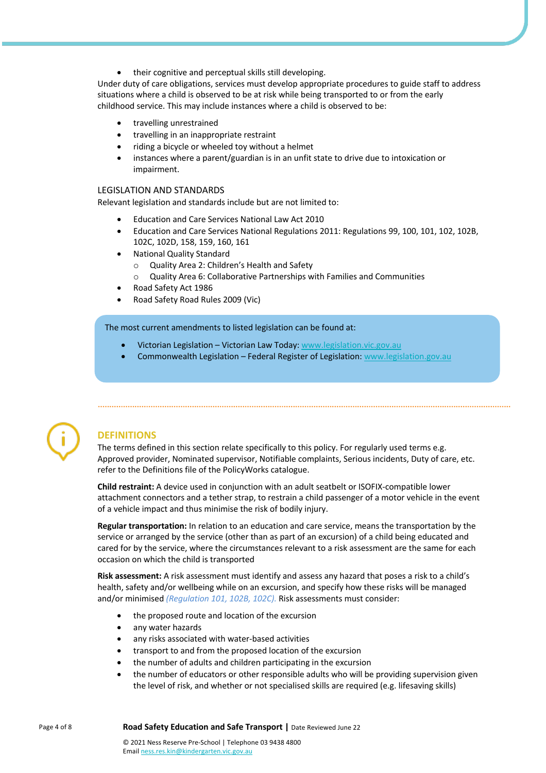• their cognitive and perceptual skills still developing.

Under duty of care obligations, services must develop appropriate procedures to guide staff to address situations where a child is observed to be at risk while being transported to or from the early childhood service. This may include instances where a child is observed to be:

- travelling unrestrained
- travelling in an inappropriate restraint
- riding a bicycle or wheeled toy without a helmet
- instances where a parent/guardian is in an unfit state to drive due to intoxication or impairment.

### LEGISLATION AND STANDARDS

Relevant legislation and standards include but are not limited to:

- Education and Care Services National Law Act 2010
- Education and Care Services National Regulations 2011: Regulations 99, 100, 101, 102, 102B, 102C, 102D, 158, 159, 160, 161
- National Quality Standard
	- o Quality Area 2: Children's Health and Safety
	- o Quality Area 6: Collaborative Partnerships with Families and Communities
- Road Safety Act 1986
- Road Safety Road Rules 2009 (Vic)

The most current amendments to listed legislation can be found at:

- Victorian Legislation Victorian Law Today: www.legislation.vic.gov.au
- Commonwealth Legislation Federal Register of Legislation: www.legislation.gov.au



# **DEFINITIONS**

The terms defined in this section relate specifically to this policy. For regularly used terms e.g. Approved provider, Nominated supervisor, Notifiable complaints, Serious incidents, Duty of care, etc. refer to the Definitions file of the PolicyWorks catalogue.

**Child restraint:** A device used in conjunction with an adult seatbelt or ISOFIX-compatible lower attachment connectors and a tether strap, to restrain a child passenger of a motor vehicle in the event of a vehicle impact and thus minimise the risk of bodily injury.

**Regular transportation:** In relation to an education and care service, means the transportation by the service or arranged by the service (other than as part of an excursion) of a child being educated and cared for by the service, where the circumstances relevant to a risk assessment are the same for each occasion on which the child is transported

**Risk assessment:** A risk assessment must identify and assess any hazard that poses a risk to a child's health, safety and/or wellbeing while on an excursion, and specify how these risks will be managed and/or minimised *(Regulation 101, 102B, 102C).* Risk assessments must consider:

- the proposed route and location of the excursion
- any water hazards
- any risks associated with water-based activities
- transport to and from the proposed location of the excursion
- the number of adults and children participating in the excursion
- the number of educators or other responsible adults who will be providing supervision given the level of risk, and whether or not specialised skills are required (e.g. lifesaving skills)

Page 4 of 8 **Road Safety Education and Safe Transport |** Date Reviewed June 22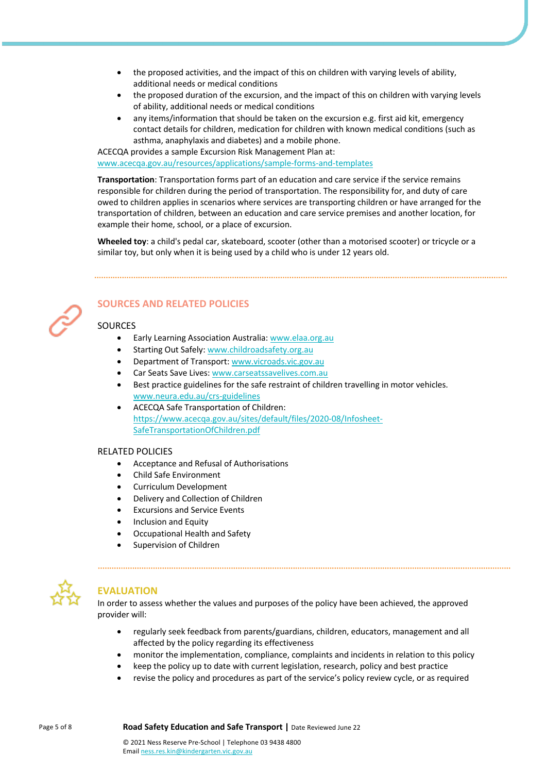- the proposed activities, and the impact of this on children with varying levels of ability, additional needs or medical conditions
- the proposed duration of the excursion, and the impact of this on children with varying levels of ability, additional needs or medical conditions
- any items/information that should be taken on the excursion e.g. first aid kit, emergency contact details for children, medication for children with known medical conditions (such as asthma, anaphylaxis and diabetes) and a mobile phone.

ACECQA provides a sample Excursion Risk Management Plan at:

www.acecqa.gov.au/resources/applications/sample-forms-and-templates

**Transportation**: Transportation forms part of an education and care service if the service remains responsible for children during the period of transportation. The responsibility for, and duty of care owed to children applies in scenarios where services are transporting children or have arranged for the transportation of children, between an education and care service premises and another location, for example their home, school, or a place of excursion.

**Wheeled toy**: a child's pedal car, skateboard, scooter (other than a motorised scooter) or tricycle or a similar toy, but only when it is being used by a child who is under 12 years old.



# **SOURCES AND RELATED POLICIES**

# **SOURCES**

- Early Learning Association Australia: www.elaa.org.au
- Starting Out Safely: www.childroadsafety.org.au
- Department of Transport: www.vicroads.vic.gov.au
- Car Seats Save Lives: www.carseatssavelives.com.au
- Best practice guidelines for the safe restraint of children travelling in motor vehicles. www.neura.edu.au/crs-guidelines
- ACECQA Safe Transportation of Children: https://www.acecqa.gov.au/sites/default/files/2020-08/Infosheet-SafeTransportationOfChildren.pdf

# RELATED POLICIES

- Acceptance and Refusal of Authorisations
- Child Safe Environment
- Curriculum Development
- Delivery and Collection of Children
- **Excursions and Service Events**
- Inclusion and Equity
- Occupational Health and Safety
- Supervision of Children



# **EVALUATION**

In order to assess whether the values and purposes of the policy have been achieved, the approved provider will:

- regularly seek feedback from parents/guardians, children, educators, management and all affected by the policy regarding its effectiveness
- monitor the implementation, compliance, complaints and incidents in relation to this policy
- keep the policy up to date with current legislation, research, policy and best practice
- revise the policy and procedures as part of the service's policy review cycle, or as required

Page 5 of 8 **Road Safety Education and Safe Transport |** Date Reviewed June 22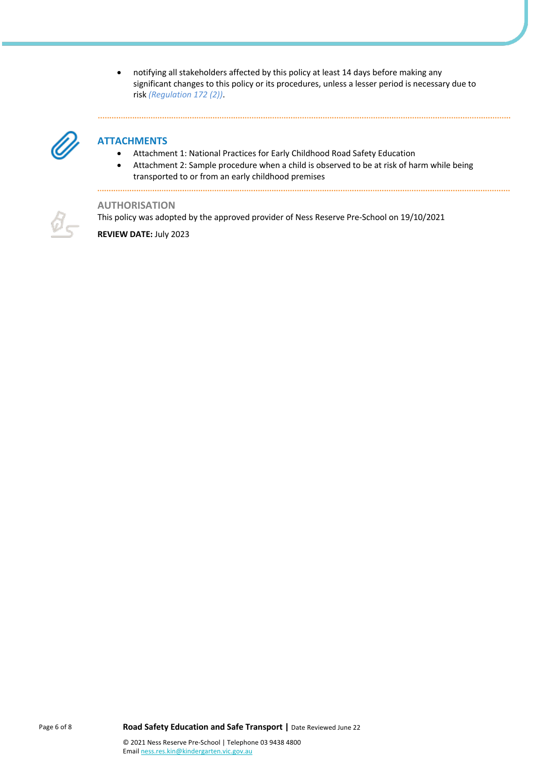• notifying all stakeholders affected by this policy at least 14 days before making any significant changes to this policy or its procedures, unless a lesser period is necessary due to risk *(Regulation 172 (2))*.



# **ATTACHMENTS**

• Attachment 1: National Practices for Early Childhood Road Safety Education

• Attachment 2: Sample procedure when a child is observed to be at risk of harm while being transported to or from an early childhood premises

### **AUTHORISATION**

This policy was adopted by the approved provider of Ness Reserve Pre-School on 19/10/2021

**REVIEW DATE:** July 2023

Page 6 of 8 **Road Safety Education and Safe Transport |** Date Reviewed June 22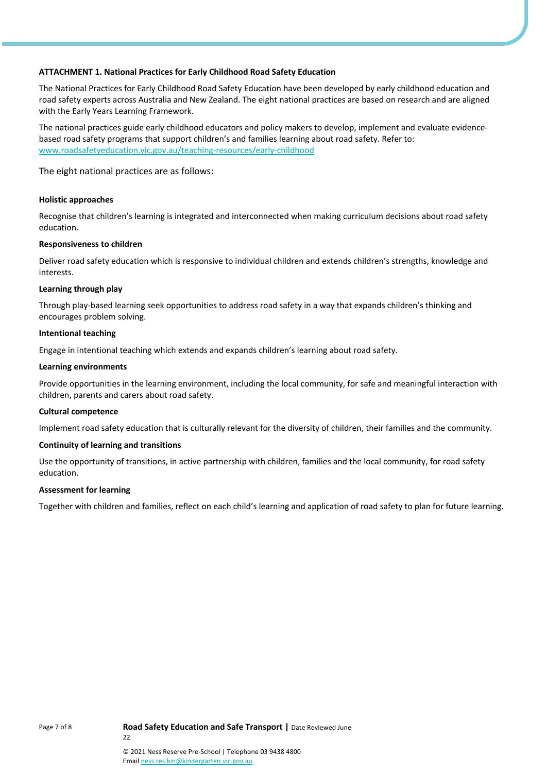# **ATTACHMENT 1. National Practices for Early Childhood Road Safety Education**

The National Practices for Early Childhood Road Safety Education have been developed by early childhood education and road safety experts across Australia and New Zealand. The eight national practices are based on research and are aligned with the Early Years Learning Framework.

The national practices guide early childhood educators and policy makers to develop, implement and evaluate evidencebased road safety programs that support children's and families learning about road safety. Refer to: www.roadsafetyeducation.vic.gov.au/teaching-resources/early-childhood

The eight national practices are as follows:

## **Holistic approaches**

Recognise that children's learning is integrated and interconnected when making curriculum decisions about road safety education.

### **Responsiveness to children**

Deliver road safety education which is responsive to individual children and extends children's strengths, knowledge and interests.

### **Learning through play**

Through play-based learning seek opportunities to address road safety in a way that expands children's thinking and encourages problem solving.

### **Intentional teaching**

Engage in intentional teaching which extends and expands children's learning about road safety.

### **Learning environments**

Provide opportunities in the learning environment, including the local community, for safe and meaningful interaction with children, parents and carers about road safety.

### **Cultural competence**

Implement road safety education that is culturally relevant for the diversity of children, their families and the community.

### **Continuity of learning and transitions**

Use the opportunity of transitions, in active partnership with children, families and the local community, for road safety education.

### **Assessment for learning**

Together with children and families, reflect on each child's learning and application of road safety to plan for future learning.